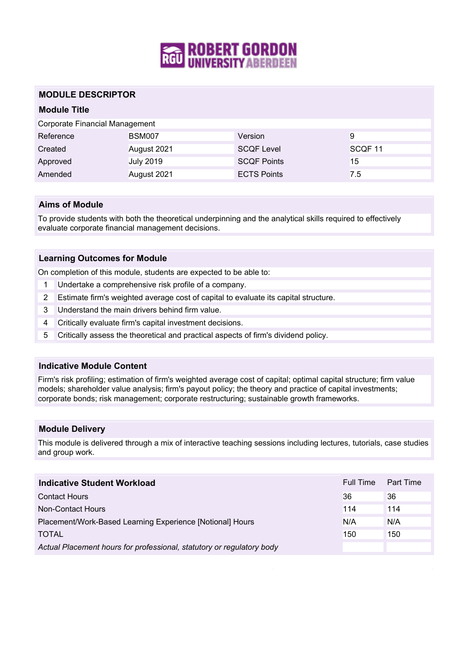

## **MODULE DESCRIPTOR**

# **Module Title**

Corporate Financial Management

| Reference | <b>BSM007</b>    | Version            | 9                  |
|-----------|------------------|--------------------|--------------------|
| Created   | August 2021      | <b>SCQF Level</b>  | SCOF <sub>11</sub> |
| Approved  | <b>July 2019</b> | <b>SCQF Points</b> | 15                 |
| Amended   | August 2021      | <b>ECTS Points</b> | 7.5                |

## **Aims of Module**

To provide students with both the theoretical underpinning and the analytical skills required to effectively evaluate corporate financial management decisions.

## **Learning Outcomes for Module**

On completion of this module, students are expected to be able to:

- 1 Undertake a comprehensive risk profile of a company.
- 2 Estimate firm's weighted average cost of capital to evaluate its capital structure.
- 3 Understand the main drivers behind firm value.
- 4 Critically evaluate firm's capital investment decisions.
- 5 Critically assess the theoretical and practical aspects of firm's dividend policy.

#### **Indicative Module Content**

Firm's risk profiling; estimation of firm's weighted average cost of capital; optimal capital structure; firm value models; shareholder value analysis; firm's payout policy; the theory and practice of capital investments; corporate bonds; risk management; corporate restructuring; sustainable growth frameworks.

### **Module Delivery**

This module is delivered through a mix of interactive teaching sessions including lectures, tutorials, case studies and group work.

| Indicative Student Workload                                           | Full Time | Part Time |
|-----------------------------------------------------------------------|-----------|-----------|
| <b>Contact Hours</b>                                                  | 36        | 36        |
| Non-Contact Hours                                                     | 114       | 114       |
| Placement/Work-Based Learning Experience [Notional] Hours             | N/A       | N/A       |
| <b>TOTAL</b>                                                          | 150       | 150       |
| Actual Placement hours for professional, statutory or regulatory body |           |           |